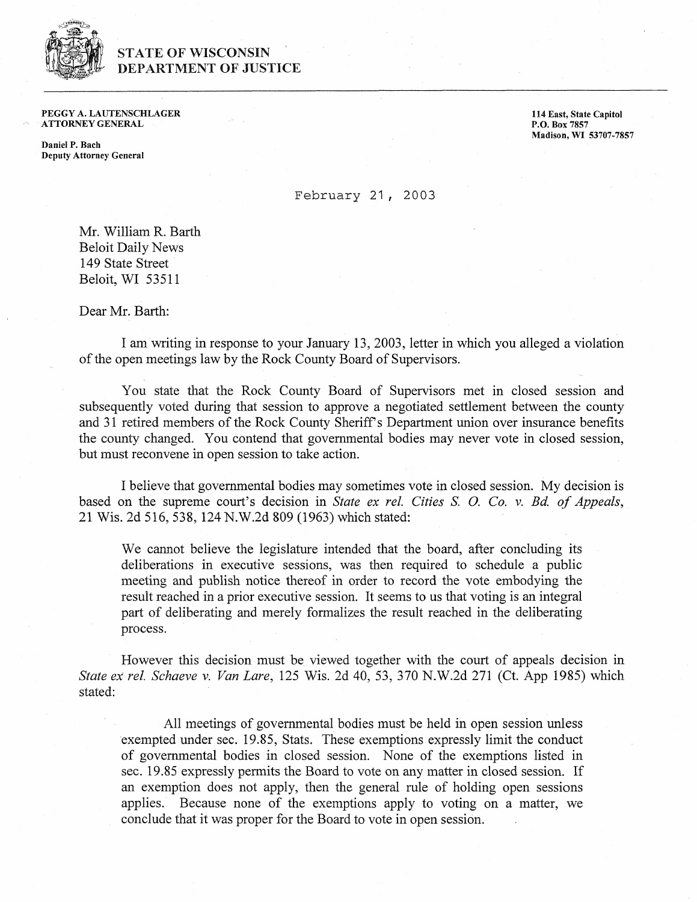

## **STATE OF WISCONSIN DEPARTMENT OF JUSTICE**

PEGGY **A.** LAUTENSCHLAGER ATTORNEY GENERAL

Daniel P. Bach Deputy Attorney General **164** East, State Capitol P.O. Box **<sup>7857</sup>** Madison, **WI 53707-7857** 

February 21 , <sup>2003</sup>

Mr. William R. Barth Beloit Daily News 149 State Street Beloit, WI 53511

Dear Mr. Barth:

I am writing in response to your January 13, 2003, letter in which you alleged a violation of the open meetings law by the Rock County Board of Supervisors.

You state that the Rock County Board of Supervisors met in closed session and subsequently voted during that session to approve a negotiated settlement between the county and 31 retired members of the Rock County Sheriff's Department union over insurance benefits the county changed. You contend that governmental bodies may never vote in closed session, but must reconvene in open session to take action.

I believe that governmental bodies may sometimes vote in closed session. My decision is based on the supreme court's decision in State ex rel. Cities *S. O. Co. v. Bd. of Appeals*, 21 Wis. 2d 516, 538, 124 N.W.2d 809 (1963) which stated:

We cannot believe the legislature intended that the board, after concluding its deliberations in executive sessions, was then required to schedule a public meeting and publish notice thereof in order to record the vote embodying the result reached in a prior executive session. It seems to us that voting is an integral part of deliberating and merely formalizes the result reached in the deliberating process.

However this decision must be viewed together with the court of appeals decision in Slate ex rel. *Schneve* **v.** Van Lare, 125 Wis. 2d 40, 53, 370 N.W.2d 271 (Ct. App 1985) which stated:

All meetings of governmental bodies must be held in open session unless exempted under sec. 19.85, Stats. These exemptions expressly limit the conduct of governmental bodies in closed session. None of the exemptions listed in sec. 19.85 expressly permits the Board to vote on any matter in closed session. If an exemption does not apply, then the general rule of holding open sessions applies. Because none of the exemptions apply to voting on a matter, we conclude that it was proper for the Board to vote in open session.